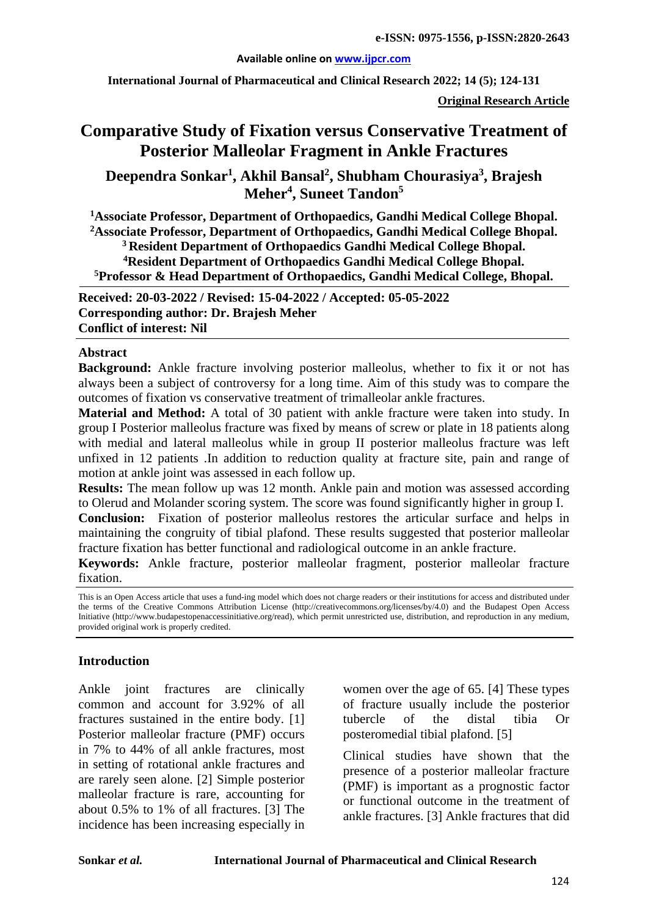#### **Available online on [www.ijpcr.com](http://www.ijpcr.com/)**

**International Journal of Pharmaceutical and Clinical Research 2022; 14 (5); 124-131**

**Original Research Article**

# **Comparative Study of Fixation versus Conservative Treatment of Posterior Malleolar Fragment in Ankle Fractures**

**Deependra Sonkar1 , Akhil Bansal2 , Shubham Chourasiya3 , Brajesh**   $\mathbf{M}$ eher<sup>4</sup>, Suneet Tandon<sup>5</sup>

**1 Associate Professor, Department of Orthopaedics, Gandhi Medical College Bhopal. 2 Associate Professor, Department of Orthopaedics, Gandhi Medical College Bhopal. 3 Resident Department of Orthopaedics Gandhi Medical College Bhopal.**

**4 Resident Department of Orthopaedics Gandhi Medical College Bhopal. 5 Professor & Head Department of Orthopaedics, Gandhi Medical College, Bhopal.**

**Received: 20-03-2022 / Revised: 15-04-2022 / Accepted: 05-05-2022 Corresponding author: Dr. Brajesh Meher Conflict of interest: Nil**

#### **Abstract**

**Background:** Ankle fracture involving posterior malleolus, whether to fix it or not has always been a subject of controversy for a long time. Aim of this study was to compare the outcomes of fixation vs conservative treatment of trimalleolar ankle fractures.

**Material and Method:** A total of 30 patient with ankle fracture were taken into study. In group I Posterior malleolus fracture was fixed by means of screw or plate in 18 patients along with medial and lateral malleolus while in group II posterior malleolus fracture was left unfixed in 12 patients .In addition to reduction quality at fracture site, pain and range of motion at ankle joint was assessed in each follow up.

**Results:** The mean follow up was 12 month. Ankle pain and motion was assessed according to Olerud and Molander scoring system. The score was found significantly higher in group I.

**Conclusion:** Fixation of posterior malleolus restores the articular surface and helps in maintaining the congruity of tibial plafond. These results suggested that posterior malleolar fracture fixation has better functional and radiological outcome in an ankle fracture.

**Keywords:** Ankle fracture, posterior malleolar fragment, posterior malleolar fracture fixation.

This is an Open Access article that uses a fund-ing model which does not charge readers or their institutions for access and distributed under the terms of the Creative Commons Attribution License (http://creativecommons.org/licenses/by/4.0) and the Budapest Open Access Initiative (http://www.budapestopenaccessinitiative.org/read), which permit unrestricted use, distribution, and reproduction in any medium, provided original work is properly credited.

#### **Introduction**

Ankle joint fractures are clinically common and account for 3.92% of all fractures sustained in the entire body. [1] Posterior malleolar fracture (PMF) occurs in 7% to 44% of all ankle fractures, most in setting of rotational ankle fractures and are rarely seen alone. [2] Simple posterior malleolar fracture is rare, accounting for about 0.5% to 1% of all fractures. [3] The incidence has been increasing especially in

women over the age of 65. [4] These types of fracture usually include the posterior tubercle of the distal tibia Or posteromedial tibial plafond. [5]

Clinical studies have shown that the presence of a posterior malleolar fracture (PMF) is important as a prognostic factor or functional outcome in the treatment of ankle fractures. [3] Ankle fractures that did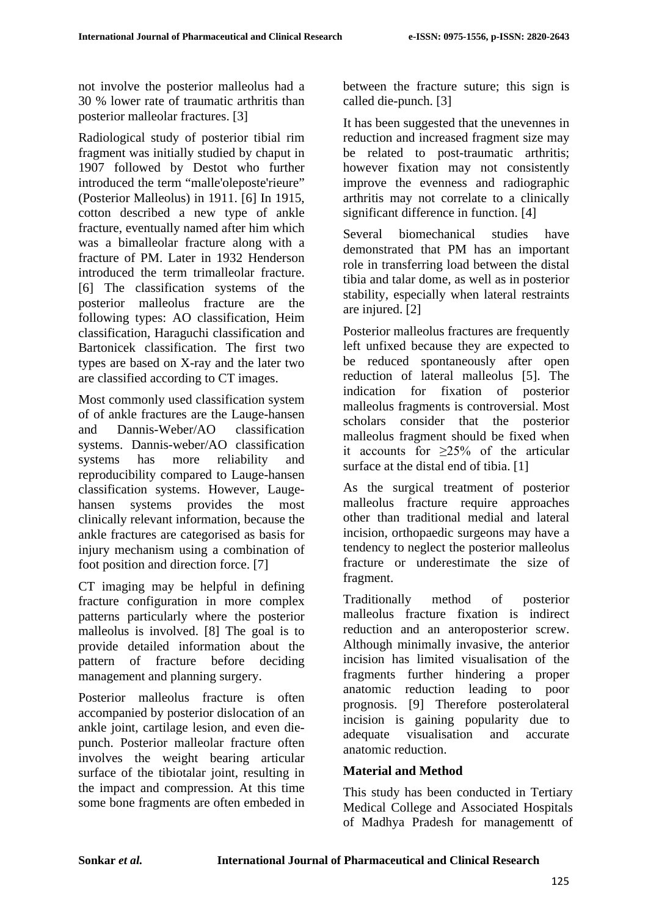not involve the posterior malleolus had a 30 % lower rate of traumatic arthritis than posterior malleolar fractures. [3]

Radiological study of posterior tibial rim fragment was initially studied by chaput in 1907 followed by Destot who further introduced the term "malle'oleposte'rieure" (Posterior Malleolus) in 1911. [6] In 1915, cotton described a new type of ankle fracture, eventually named after him which was a bimalleolar fracture along with a fracture of PM. Later in 1932 Henderson introduced the term trimalleolar fracture. [6] The classification systems of the posterior malleolus fracture are the following types: AO classification, Heim classification, Haraguchi classification and Bartonicek classification. The first two types are based on X-ray and the later two are classified according to CT images.

Most commonly used classification system of of ankle fractures are the Lauge-hansen and Dannis-Weber/AO classification systems. Dannis-weber/AO classification systems has more reliability and reproducibility compared to Lauge-hansen classification systems. However, Laugehansen systems provides the most clinically relevant information, because the ankle fractures are categorised as basis for injury mechanism using a combination of foot position and direction force. [7]

CT imaging may be helpful in defining fracture configuration in more complex patterns particularly where the posterior malleolus is involved. [8] The goal is to provide detailed information about the pattern of fracture before deciding management and planning surgery.

Posterior malleolus fracture is often accompanied by posterior dislocation of an ankle joint, cartilage lesion, and even diepunch. Posterior malleolar fracture often involves the weight bearing articular surface of the tibiotalar joint, resulting in the impact and compression. At this time some bone fragments are often embeded in

between the fracture suture; this sign is called die-punch. [3]

It has been suggested that the unevennes in reduction and increased fragment size may be related to post-traumatic arthritis; however fixation may not consistently improve the evenness and radiographic arthritis may not correlate to a clinically significant difference in function. [4]

Several biomechanical studies have demonstrated that PM has an important role in transferring load between the distal tibia and talar dome, as well as in posterior stability, especially when lateral restraints are injured. [2]

Posterior malleolus fractures are frequently left unfixed because they are expected to be reduced spontaneously after open reduction of lateral malleolus [5]. The indication for fixation of posterior malleolus fragments is controversial. Most scholars consider that the posterior malleolus fragment should be fixed when it accounts for  $\geq 25\%$  of the articular surface at the distal end of tibia. [1]

As the surgical treatment of posterior malleolus fracture require approaches other than traditional medial and lateral incision, orthopaedic surgeons may have a tendency to neglect the posterior malleolus fracture or underestimate the size of fragment.

Traditionally method of posterior malleolus fracture fixation is indirect reduction and an anteroposterior screw. Although minimally invasive, the anterior incision has limited visualisation of the fragments further hindering a proper anatomic reduction leading to poor prognosis. [9] Therefore posterolateral incision is gaining popularity due to adequate visualisation and accurate anatomic reduction.

# **Material and Method**

This study has been conducted in Tertiary Medical College and Associated Hospitals of Madhya Pradesh for managementt of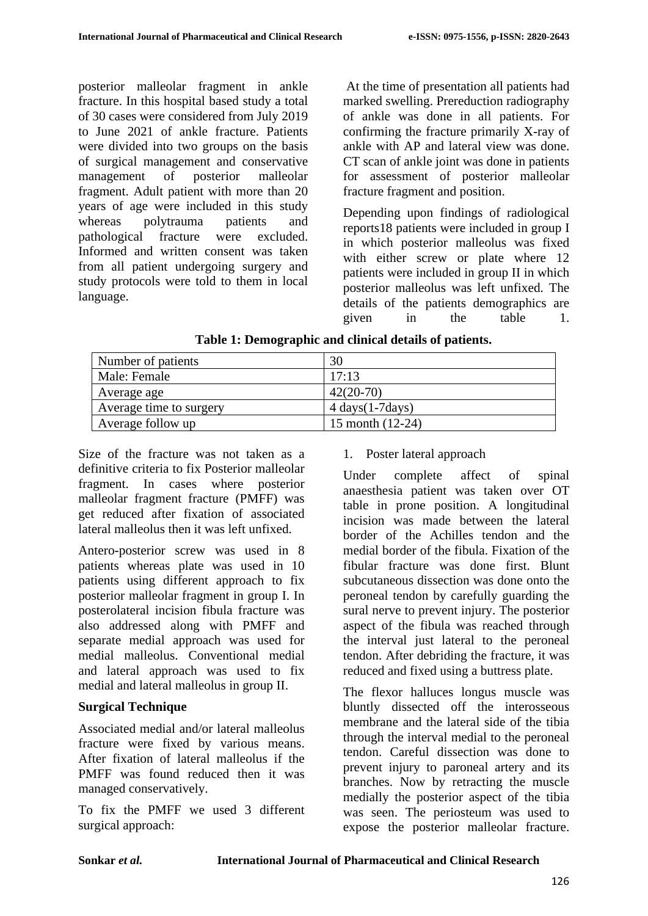posterior malleolar fragment in ankle fracture. In this hospital based study a total of 30 cases were considered from July 2019 to June 2021 of ankle fracture. Patients were divided into two groups on the basis of surgical management and conservative management of posterior malleolar fragment. Adult patient with more than 20 years of age were included in this study whereas polytrauma patients and<br>
pathological fracture were excluded. pathological fracture were excluded. Informed and written consent was taken from all patient undergoing surgery and study protocols were told to them in local language.

At the time of presentation all patients had marked swelling. Prereduction radiography of ankle was done in all patients. For confirming the fracture primarily X-ray of ankle with AP and lateral view was done. CT scan of ankle joint was done in patients for assessment of posterior malleolar fracture fragment and position.

Depending upon findings of radiological reports18 patients were included in group I in which posterior malleolus was fixed with either screw or plate where 12 patients were included in group II in which posterior malleolus was left unfixed. The details of the patients demographics are given in the table 1.

| Number of patients      | 30                                  |
|-------------------------|-------------------------------------|
| Male: Female            | 17:13                               |
| Average age             | $42(20-70)$                         |
| Average time to surgery | $4 \text{ days} (1-7 \text{ days})$ |
| Average follow up       | 15 month $(12-24)$                  |

**Table 1: Demographic and clinical details of patients.**

Size of the fracture was not taken as a definitive criteria to fix Posterior malleolar fragment. In cases where posterior malleolar fragment fracture (PMFF) was get reduced after fixation of associated lateral malleolus then it was left unfixed.

Antero-posterior screw was used in 8 patients whereas plate was used in 10 patients using different approach to fix posterior malleolar fragment in group I. In posterolateral incision fibula fracture was also addressed along with PMFF and separate medial approach was used for medial malleolus. Conventional medial and lateral approach was used to fix medial and lateral malleolus in group II.

# **Surgical Technique**

Associated medial and/or lateral malleolus fracture were fixed by various means. After fixation of lateral malleolus if the PMFF was found reduced then it was managed conservatively.

To fix the PMFF we used 3 different surgical approach:

### 1. Poster lateral approach

Under complete affect of spinal anaesthesia patient was taken over OT table in prone position. A longitudinal incision was made between the lateral border of the Achilles tendon and the medial border of the fibula. Fixation of the fibular fracture was done first. Blunt subcutaneous dissection was done onto the peroneal tendon by carefully guarding the sural nerve to prevent injury. The posterior aspect of the fibula was reached through the interval just lateral to the peroneal tendon. After debriding the fracture, it was reduced and fixed using a buttress plate.

The flexor halluces longus muscle was bluntly dissected off the interosseous membrane and the lateral side of the tibia through the interval medial to the peroneal tendon. Careful dissection was done to prevent injury to paroneal artery and its branches. Now by retracting the muscle medially the posterior aspect of the tibia was seen. The periosteum was used to expose the posterior malleolar fracture.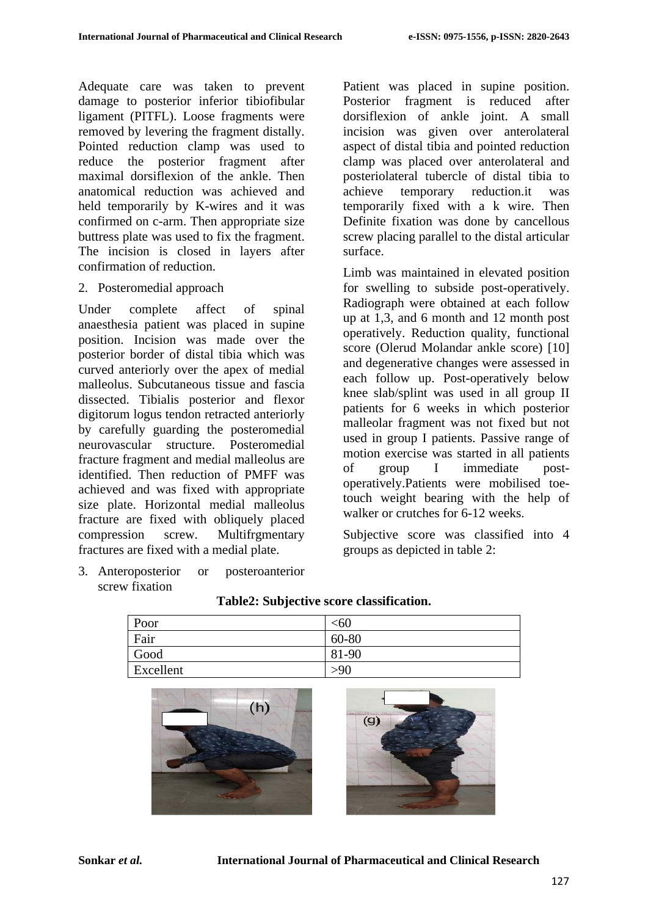Adequate care was taken to prevent damage to posterior inferior tibiofibular ligament (PITFL). Loose fragments were removed by levering the fragment distally. Pointed reduction clamp was used to reduce the posterior fragment after maximal dorsiflexion of the ankle. Then anatomical reduction was achieved and held temporarily by K-wires and it was confirmed on c-arm. Then appropriate size buttress plate was used to fix the fragment. The incision is closed in layers after confirmation of reduction.

### 2. Posteromedial approach

Under complete affect of spinal anaesthesia patient was placed in supine position. Incision was made over the posterior border of distal tibia which was curved anteriorly over the apex of medial malleolus. Subcutaneous tissue and fascia dissected. Tibialis posterior and flexor digitorum logus tendon retracted anteriorly by carefully guarding the posteromedial neurovascular structure. Posteromedial fracture fragment and medial malleolus are identified. Then reduction of PMFF was achieved and was fixed with appropriate size plate. Horizontal medial malleolus fracture are fixed with obliquely placed compression screw. Multifrgmentary fractures are fixed with a medial plate.

3. Anteroposterior or posteroanterior screw fixation

Patient was placed in supine position. Posterior fragment is reduced after dorsiflexion of ankle joint. A small incision was given over anterolateral aspect of distal tibia and pointed reduction clamp was placed over anterolateral and posteriolateral tubercle of distal tibia to achieve temporary reduction.it was temporarily fixed with a k wire. Then Definite fixation was done by cancellous screw placing parallel to the distal articular surface.

Limb was maintained in elevated position for swelling to subside post-operatively. Radiograph were obtained at each follow up at 1,3, and 6 month and 12 month post operatively. Reduction quality, functional score (Olerud Molandar ankle score) [10] and degenerative changes were assessed in each follow up. Post-operatively below knee slab/splint was used in all group II patients for 6 weeks in which posterior malleolar fragment was not fixed but not used in group I patients. Passive range of motion exercise was started in all patients of group I immediate postoperatively.Patients were mobilised toetouch weight bearing with the help of walker or crutches for 6-12 weeks.

Subjective score was classified into 4 groups as depicted in table 2:

| Poor      | $<$ 60 |
|-----------|--------|
| Fair      | 60-80  |
| Good      | 81-90  |
| Excellent | >90    |
|           |        |

#### **Table2: Subjective score classification.**



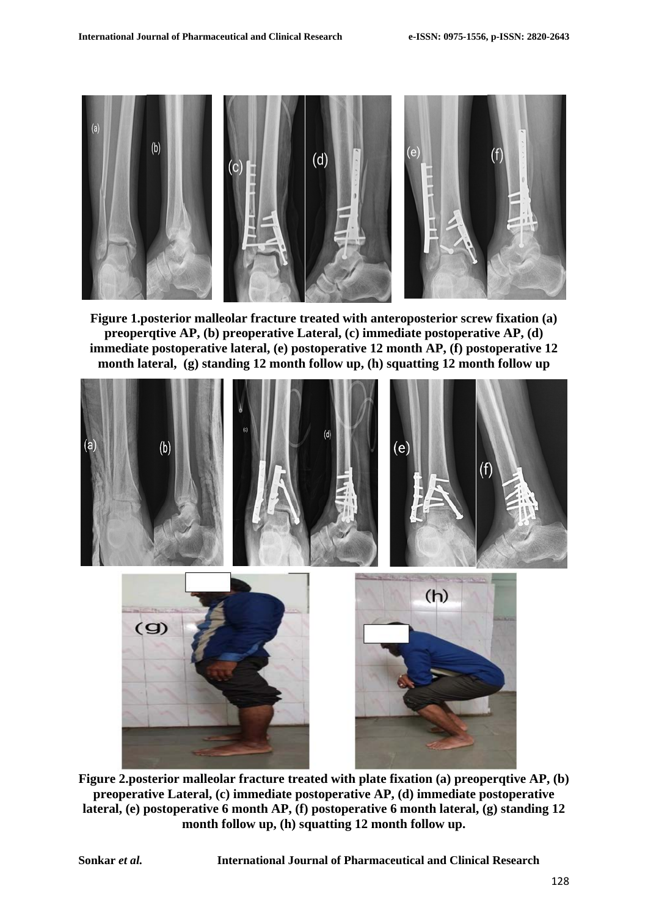

**Figure 1.posterior malleolar fracture treated with anteroposterior screw fixation (a) preoperqtive AP, (b) preoperative Lateral, (c) immediate postoperative AP, (d) immediate postoperative lateral, (e) postoperative 12 month AP, (f) postoperative 12 month lateral, (g) standing 12 month follow up, (h) squatting 12 month follow up**



**Figure 2.posterior malleolar fracture treated with plate fixation (a) preoperqtive AP, (b) preoperative Lateral, (c) immediate postoperative AP, (d) immediate postoperative lateral, (e) postoperative 6 month AP, (f) postoperative 6 month lateral, (g) standing 12 month follow up, (h) squatting 12 month follow up.**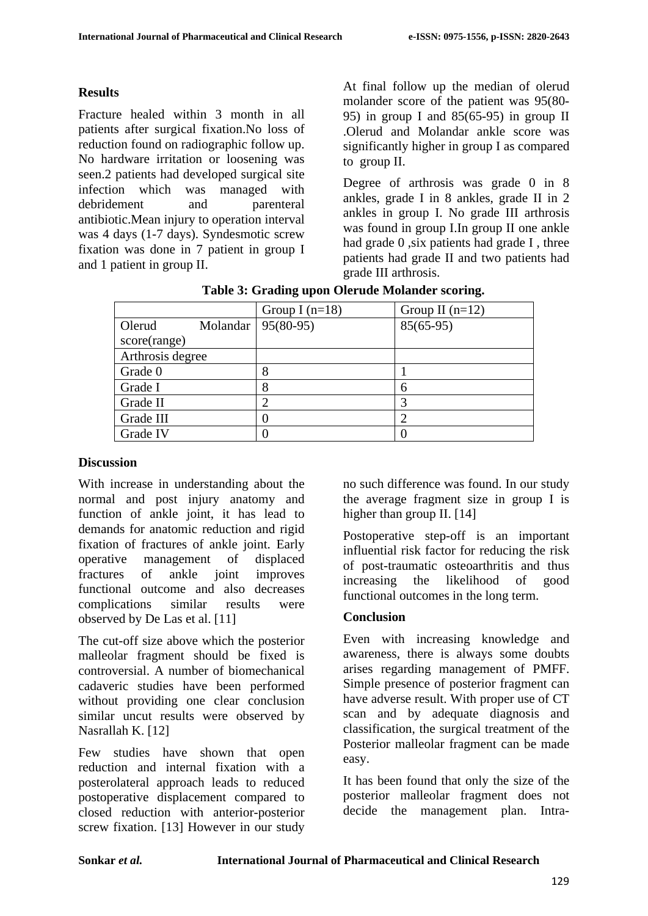### **Results**

Fracture healed within 3 month in all patients after surgical fixation.No loss of reduction found on radiographic follow up. No hardware irritation or loosening was seen.2 patients had developed surgical site infection which was managed with debridement and parenteral antibiotic.Mean injury to operation interval was 4 days (1-7 days). Syndesmotic screw fixation was done in 7 patient in group I and 1 patient in group II.

At final follow up the median of olerud molander score of the patient was 95(80- 95) in group I and 85(65-95) in group II .Olerud and Molandar ankle score was significantly higher in group I as compared to group II.

Degree of arthrosis was grade 0 in 8 ankles, grade I in 8 ankles, grade II in 2 ankles in group I. No grade III arthrosis was found in group I.In group II one ankle had grade 0, six patients had grade I, three patients had grade II and two patients had grade III arthrosis.

|                  | Group I $(n=18)$     | Group II $(n=12)$ |
|------------------|----------------------|-------------------|
| Olerud           | Molandar   95(80-95) | $85(65-95)$       |
| score(range)     |                      |                   |
| Arthrosis degree |                      |                   |
| Grade 0          | 8                    |                   |
| Grade I          | 8                    |                   |
| Grade II         | 2                    |                   |
| Grade III        |                      |                   |
| Grade IV         |                      |                   |

**Table 3: Grading upon Olerude Molander scoring.**

#### **Discussion**

With increase in understanding about the normal and post injury anatomy and function of ankle joint, it has lead to demands for anatomic reduction and rigid fixation of fractures of ankle joint. Early operative management of displaced fractures of ankle joint improves functional outcome and also decreases complications similar results were observed by De Las et al. [11]

The cut-off size above which the posterior malleolar fragment should be fixed is controversial. A number of biomechanical cadaveric studies have been performed without providing one clear conclusion similar uncut results were observed by Nasrallah K. [12]

Few studies have shown that open reduction and internal fixation with a posterolateral approach leads to reduced postoperative displacement compared to closed reduction with anterior-posterior screw fixation. [13] However in our study

no such difference was found. In our study the average fragment size in group I is higher than group II. [14]

Postoperative step-off is an important influential risk factor for reducing the risk of post-traumatic osteoarthritis and thus increasing the likelihood of good functional outcomes in the long term.

### **Conclusion**

Even with increasing knowledge and awareness, there is always some doubts arises regarding management of PMFF. Simple presence of posterior fragment can have adverse result. With proper use of CT scan and by adequate diagnosis and classification, the surgical treatment of the Posterior malleolar fragment can be made easy.

It has been found that only the size of the posterior malleolar fragment does not decide the management plan. Intra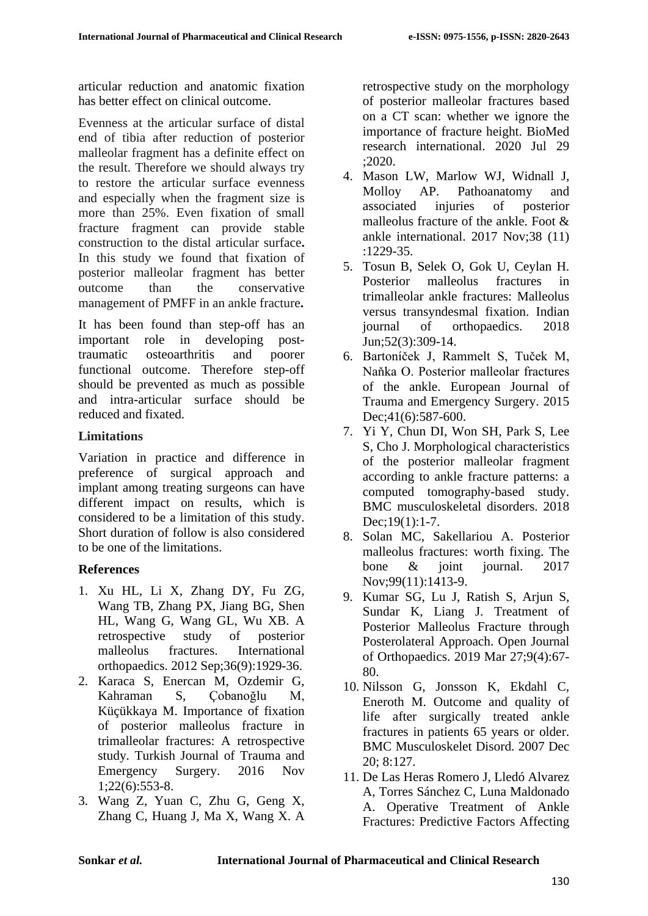articular reduction and anatomic fixation has better effect on clinical outcome.

Evenness at the articular surface of distal end of tibia after reduction of posterior malleolar fragment has a definite effect on the result. Therefore we should always try to restore the articular surface evenness and especially when the fragment size is more than 25%. Even fixation of small fracture fragment can provide stable construction to the distal articular surface**.**  In this study we found that fixation of posterior malleolar fragment has better outcome than the conservative management of PMFF in an ankle fracture**.** 

It has been found than step-off has an important role in developing posttraumatic osteoarthritis and poorer functional outcome. Therefore step-off should be prevented as much as possible and intra-articular surface should be reduced and fixated.

### **Limitations**

Variation in practice and difference in preference of surgical approach and implant among treating surgeons can have different impact on results, which is considered to be a limitation of this study. Short duration of follow is also considered to be one of the limitations.

# **References**

- 1. Xu HL, Li X, Zhang DY, Fu ZG, Wang TB, Zhang PX, Jiang BG, Shen HL, Wang G, Wang GL, Wu XB. A retrospective study of posterior malleolus fractures. International orthopaedics. 2012 Sep;36(9):1929-36.
- 2. Karaca S, Enercan M, Ozdemir G, Kahraman S, Çobanoğlu M, Küçükkaya M. Importance of fixation of posterior malleolus fracture in trimalleolar fractures: A retrospective study. Turkish Journal of Trauma and Emergency Surgery. 2016 Nov 1;22(6):553-8.
- 3. Wang Z, Yuan C, Zhu G, Geng X, Zhang C, Huang J, Ma X, Wang X. A

retrospective study on the morphology of posterior malleolar fractures based on a CT scan: whether we ignore the importance of fracture height. BioMed research international. 2020 Jul 29 ;2020.

- 4. Mason LW, Marlow WJ, Widnall J, Molloy AP. Pathoanatomy and associated injuries of posterior malleolus fracture of the ankle. Foot & ankle international. 2017 Nov;38 (11) :1229-35.
- 5. Tosun B, Selek O, Gok U, Ceylan H. Posterior malleolus fractures in trimalleolar ankle fractures: Malleolus versus transyndesmal fixation. Indian journal of orthopaedics. 2018 Jun;52(3):309-14.
- 6. Bartoníček J, Rammelt S, Tuček M, Naňka O. Posterior malleolar fractures of the ankle. European Journal of Trauma and Emergency Surgery. 2015 Dec; 41(6): 587-600.
- 7. Yi Y, Chun DI, Won SH, Park S, Lee S, Cho J. Morphological characteristics of the posterior malleolar fragment according to ankle fracture patterns: a computed tomography-based study. BMC musculoskeletal disorders. 2018 Dec;19(1):1-7.
- 8. Solan MC, Sakellariou A. Posterior malleolus fractures: worth fixing. The bone & joint journal. 2017 Nov;99(11):1413-9.
- 9. Kumar SG, Lu J, Ratish S, Arjun S, Sundar K, Liang J. Treatment of Posterior Malleolus Fracture through Posterolateral Approach. Open Journal of Orthopaedics. 2019 Mar 27;9(4):67- 80.
- 10. Nilsson G, Jonsson K, Ekdahl C, Eneroth M. Outcome and quality of life after surgically treated ankle fractures in patients 65 years or older. BMC Musculoskelet Disord. 2007 Dec 20; 8:127.
- 11. De Las Heras Romero J, Lledó Alvarez A, Torres Sánchez C, Luna Maldonado A. Operative Treatment of Ankle Fractures: Predictive Factors Affecting